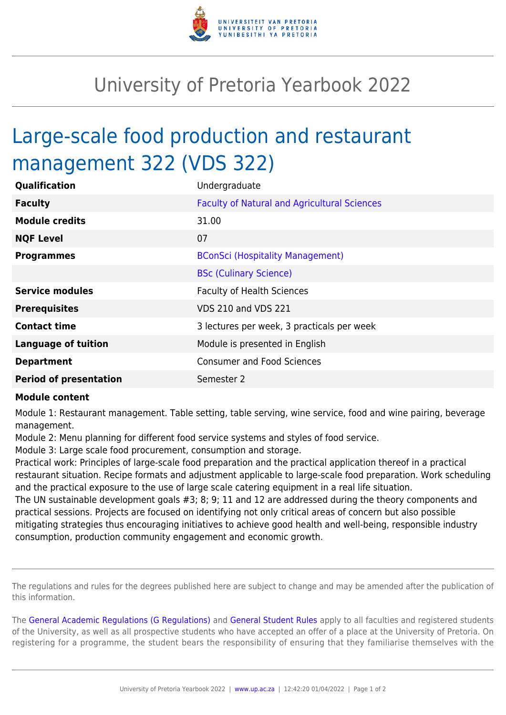

## University of Pretoria Yearbook 2022

## Large-scale food production and restaurant management 322 (VDS 322)

| Qualification                 | Undergraduate                                       |
|-------------------------------|-----------------------------------------------------|
| <b>Faculty</b>                | <b>Faculty of Natural and Agricultural Sciences</b> |
| <b>Module credits</b>         | 31.00                                               |
| <b>NQF Level</b>              | 07                                                  |
| <b>Programmes</b>             | <b>BConSci (Hospitality Management)</b>             |
|                               | <b>BSc (Culinary Science)</b>                       |
| <b>Service modules</b>        | <b>Faculty of Health Sciences</b>                   |
| <b>Prerequisites</b>          | <b>VDS 210 and VDS 221</b>                          |
| <b>Contact time</b>           | 3 lectures per week, 3 practicals per week          |
| <b>Language of tuition</b>    | Module is presented in English                      |
| <b>Department</b>             | <b>Consumer and Food Sciences</b>                   |
| <b>Period of presentation</b> | Semester 2                                          |

## **Module content**

Module 1: Restaurant management. Table setting, table serving, wine service, food and wine pairing, beverage management.

Module 2: Menu planning for different food service systems and styles of food service.

Module 3: Large scale food procurement, consumption and storage.

Practical work: Principles of large-scale food preparation and the practical application thereof in a practical restaurant situation. Recipe formats and adjustment applicable to large-scale food preparation. Work scheduling and the practical exposure to the use of large scale catering equipment in a real life situation.

The UN sustainable development goals #3; 8; 9; 11 and 12 are addressed during the theory components and practical sessions. Projects are focused on identifying not only critical areas of concern but also possible mitigating strategies thus encouraging initiatives to achieve good health and well-being, responsible industry consumption, production community engagement and economic growth.

The regulations and rules for the degrees published here are subject to change and may be amended after the publication of this information.

The [General Academic Regulations \(G Regulations\)](https://www.up.ac.za/yearbooks/2022/rules/view/REG) and [General Student Rules](https://www.up.ac.za/yearbooks/2022/rules/view/RUL) apply to all faculties and registered students of the University, as well as all prospective students who have accepted an offer of a place at the University of Pretoria. On registering for a programme, the student bears the responsibility of ensuring that they familiarise themselves with the